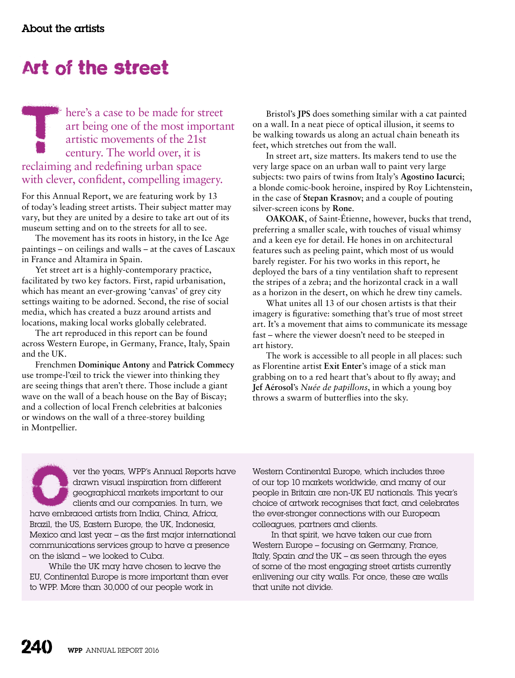## Art of the street

There's a case to be made for street<br>art being one of the most importated<br>artistic movements of the 21st<br>century. The world over, it is<br>reclaiming and redefining urban space art being one of the most important artistic movements of the 21st century. The world over, it is reclaiming and redefining urban space with clever, confident, compelling imagery.

For this Annual Report, we are featuring work by 13 of today's leading street artists. Their subject matter may vary, but they are united by a desire to take art out of its museum setting and on to the streets for all to see.

The movement has its roots in history, in the Ice Age paintings – on ceilings and walls – at the caves of Lascaux in France and Altamira in Spain.

Yet street art is a highly-contemporary practice, facilitated by two key factors. First, rapid urbanisation, which has meant an ever-growing 'canvas' of grey city settings waiting to be adorned. Second, the rise of social media, which has created a buzz around artists and locations, making local works globally celebrated.

The art reproduced in this report can be found across Western Europe, in Germany, France, Italy, Spain and the UK.

Frenchmen **Dominique Antony** and **Patrick Commecy** use trompe-l'œil to trick the viewer into thinking they are seeing things that aren't there. Those include a giant wave on the wall of a beach house on the Bay of Biscay; and a collection of local French celebrities at balconies or windows on the wall of a three-storey building in Montpellier.

Bristol's **JPS** does something similar with a cat painted on a wall. In a neat piece of optical illusion, it seems to be walking towards us along an actual chain beneath its feet, which stretches out from the wall.

In street art, size matters. Its makers tend to use the very large space on an urban wall to paint very large subjects: two pairs of twins from Italy's **Agostino Iacurci**; a blonde comic-book heroine, inspired by Roy Lichtenstein, in the case of **Stepan Krasnov**; and a couple of pouting silver-screen icons by **Rone**.

**OAKOAK**, of Saint-Étienne, however, bucks that trend, preferring a smaller scale, with touches of visual whimsy and a keen eye for detail. He hones in on architectural features such as peeling paint, which most of us would barely register. For his two works in this report, he deployed the bars of a tiny ventilation shaft to represent the stripes of a zebra; and the horizontal crack in a wall as a horizon in the desert, on which he drew tiny camels.

What unites all 13 of our chosen artists is that their imagery is figurative: something that's true of most street art. It's a movement that aims to communicate its message fast – where the viewer doesn't need to be steeped in art history.

The work is accessible to all people in all places: such as Florentine artist **Exit Enter**'s image of a stick man grabbing on to a red heart that's about to fly away; and **Jef Aérosol**'s *Nuée de papillons*, in which a young boy throws a swarm of butterflies into the sky.

ver the years, WPP's Annual Reports have<br>drawn visual inspiration from different<br>geographical markets important to our<br>clients and our companies. In turn, we<br>have embraced artists from India, China, Africa, drawn visual inspiration from different geographical markets important to our clients and our companies. In turn, we have embraced artists from India, China, Africa, Brazil, the US, Eastern Europe, the UK, Indonesia, Mexico and last year – as the first major international communications services group to have a presence on the island – we looked to Cuba.

While the UK may have chosen to leave the EU, Continental Europe is more important than ever to WPP. More than 30,000 of our people work in

Western Continental Europe, which includes three of our top 10 markets worldwide, and many of our people in Britain are non-UK EU nationals. This year's choice of artwork recognises that fact, and celebrates the ever-stronger connections with our European colleagues, partners and clients.

In that spirit, we have taken our cue from Western Europe – focusing on Germany, France, Italy, Spain *and* the UK – as seen through the eyes of some of the most engaging street artists currently enlivening our city walls. For once, these are walls that unite not divide.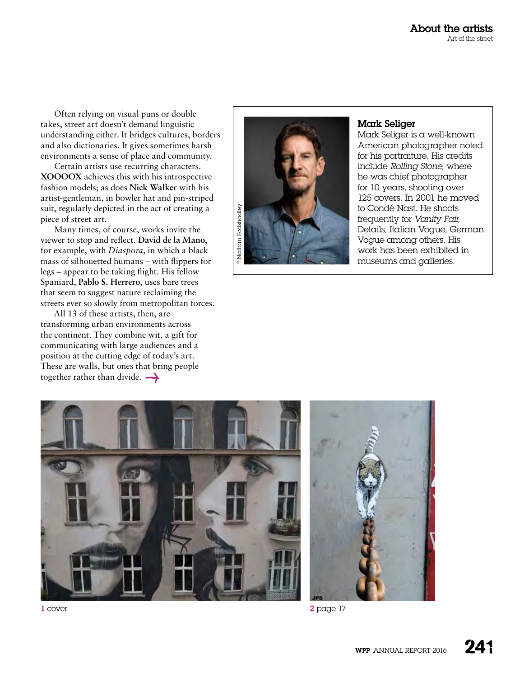Often relying on visual puns or double takes, street art doesn't demand linguistic understanding either. It bridges cultures, borders and also dictionaries. It gives sometimes harsh environments a sense of place and community.

Certain artists use recurring characters. **XOOOOX** achieves this with his introspective fashion models; as does **Nick Walker** with his artist-gentleman, in bowler hat and pin-striped suit, regularly depicted in the act of creating a piece of street art.

Many times, of course, works invite the viewer to stop and reflect. **David de la Mano**, for example, with *Diaspora*, in which a black mass of silhouetted humans – with flippers for legs – appear to be taking flight. His fellow Spaniard, **Pablo S. Herrero**, uses bare trees that seem to suggest nature reclaiming the streets ever so slowly from metropolitan forces.

All 13 of these artists, then, are transforming urban environments across the continent. They combine wit, a gift for communicating with large audiences and a position at the cutting edge of today's art. These are walls, but ones that bring people together rather than divide.  $\rightarrow$ 



## Mark Seliger

Mark Seliger is a well-known American photographer noted for his portraiture. His credits include *Rolling Stone*, where he was chief photographer for 10 years, shooting over 125 covers. In 2001 he moved to Condé Nast. He shoots frequently for *Vanity Fair*, Details, Italian Vogue, German Vogue among others. His work has been exhibited in museums and galleries.



1 cover 2 page 17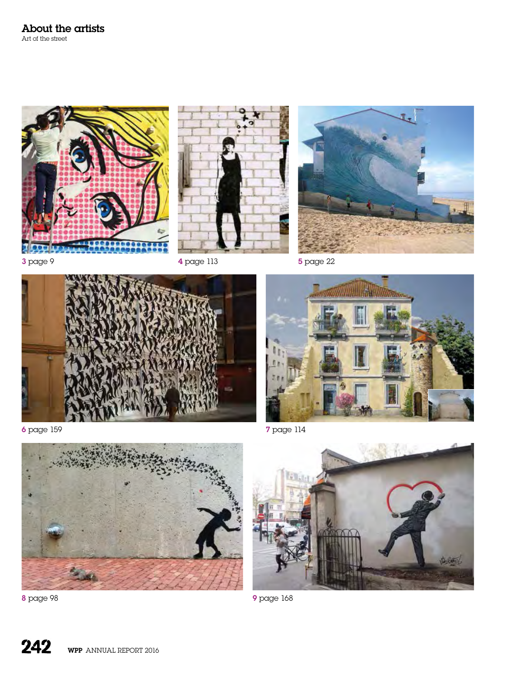









6 page 159 7 page 114







8 page 98 9 page 168